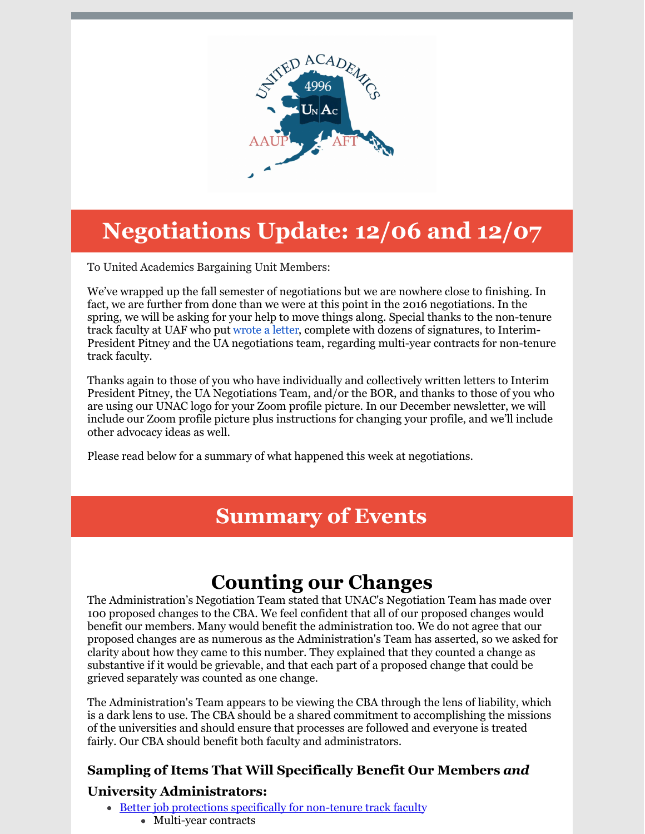

# **Negotiations Update: 12/06 and 12/07**

To United Academics Bargaining Unit Members:

We've wrapped up the fall semester of negotiations but we are nowhere close to finishing. In fact, we are further from done than we were at this point in the 2016 negotiations. In the spring, we will be asking for your help to move things along. Special thanks to the non-tenure track faculty at UAF who put [wrote](http://unitedacademics.net/uaf-non-tenure-track-research-faculty-letter-in-support-of-multi-year-contracts/) a letter, complete with dozens of signatures, to Interim-President Pitney and the UA negotiations team, regarding multi-year contracts for non-tenure track faculty.

Thanks again to those of you who have individually and collectively written letters to Interim President Pitney, the UA Negotiations Team, and/or the BOR, and thanks to those of you who are using our UNAC logo for your Zoom profile picture. In our December newsletter, we will include our Zoom profile picture plus instructions for changing your profile, and we'll include other advocacy ideas as well.

Please read below for a summary of what happened this week at negotiations.

### **Summary of Events**

### **Counting our Changes**

The Administration's Negotiation Team stated that UNAC's Negotiation Team has made over 100 proposed changes to the CBA. We feel confident that all of our proposed changes would benefit our members. Many would benefit the administration too. We do not agree that our proposed changes are as numerous as the Administration's Team has asserted, so we asked for clarity about how they came to this number. They explained that they counted a change as substantive if it would be grievable, and that each part of a proposed change that could be grieved separately was counted as one change.

The Administration's Team appears to be viewing the CBA through the lens of liability, which is a dark lens to use. The CBA should be a shared commitment to accomplishing the missions of the universities and should ensure that processes are followed and everyone is treated fairly. Our CBA should benefit both faculty and administrators.

#### **Sampling of Items That Will Specifically Benefit Our Members** *and*

#### **University Administrators:**

- Better job [protections](http://unitedacademics.net/wp-content/uploads/2021/11/Article-9-UNAC-Counter-11-16.pdf) specifically for non-tenure track faculty
	- Multi-year contracts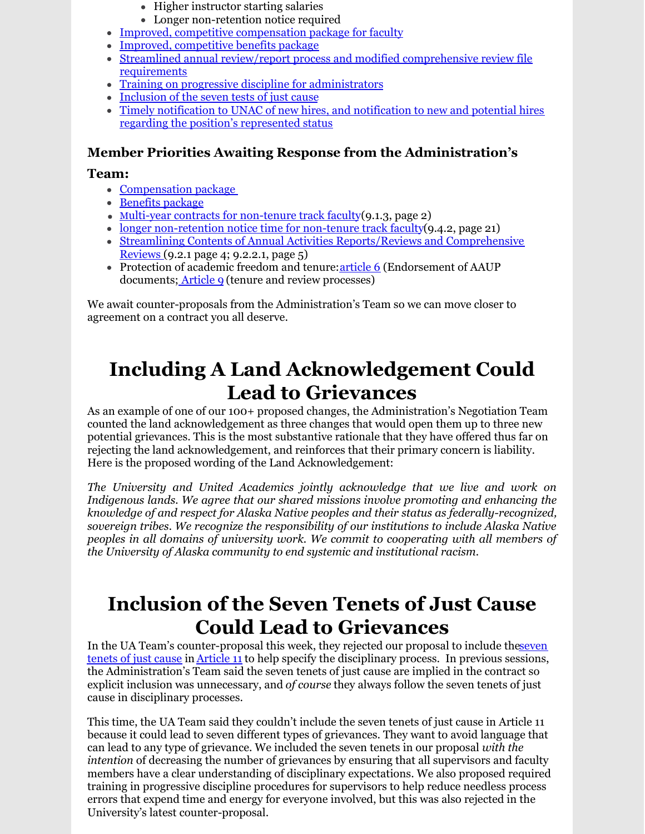- Higher instructor starting salaries
- Longer non-retention notice required
- Improved, competitive [compensation](http://unitedacademics.net/wp-content/uploads/2021/10/Article-15-UNAC-proposal-10-18.pdf) package for faculty
- Improved, [competitive](http://unitedacademics.net/wp-content/uploads/2021/10/Article-16-UNAC-10-19.pdf) benefits package
- Streamlined annual review/report process and modified [comprehensive](http://unitedacademics.net/wp-content/uploads/2021/11/Article-9-UNAC-Counter-11-16.pdf) review file **requirements**
- Training on progressive discipline for [administrators](http://unitedacademics.net/wp-content/uploads/2021/12/Article-11-UNAC-Proposal-11-29.pdf)
- [Inclusion](http://unitedacademics.net/wp-content/uploads/2021/12/Article-11-UNAC-Proposal-11-29.pdf) of the seven tests of just cause
- Timely notification to UNAC of new hires, and notification to new and potential hires regarding the position's [represented](http://unitedacademics.net/wp-content/uploads/2021/12/Art-5-UNAC-Counter_Package2-12-7.pdf) status

#### **Member Priorities Awaiting Response from the Administration's**

#### **Team:**

- [Compensation](http://unitedacademics.net/wp-content/uploads/2021/10/Article-15-UNAC-proposal-10-18.pdf) package
- [Benefits](http://unitedacademics.net/wp-content/uploads/2021/10/Article-16-UNAC-10-19.pdf) package
- Multi-year contracts for [non-tenure](http://unitedacademics.net/wp-content/uploads/2021/11/Article-9-UNAC-Counter-11-16.pdf) track faculty(9.1.3, page 2)
- longer [non-retention](http://unitedacademics.net/wp-content/uploads/2021/11/Article-9-UNAC-Counter-11-16.pdf) notice time for non-tenure track faculty(9.4.2, page 21)
- Streamlining Contents of Annual Activities [Reports/Reviews](http://unitedacademics.net/wp-content/uploads/2021/11/Article-9-UNAC-Counter-11-16.pdf) and Comprehensive Reviews (9.2.1 page 4; 9.2.2.1, page 5)
- Protection of academic freedom and tenure: [article](http://unitedacademics.net/wp-content/uploads/2021/12/Art-6-UNAC-Counter-11-29.pdf) 6 (Endorsement of AAUP documents; [Article](http://unitedacademics.net/wp-content/uploads/2021/11/Article-9-UNAC-Counter-11-16.pdf) 9 (tenure and review processes)

We await counter-proposals from the Administration's Team so we can move closer to agreement on a contract you all deserve.

## **Including A Land Acknowledgement Could Lead to Grievances**

As an example of one of our 100+ proposed changes, the Administration's Negotiation Team counted the land acknowledgement as three changes that would open them up to three new potential grievances. This is the most substantive rationale that they have offered thus far on rejecting the land acknowledgement, and reinforces that their primary concern is liability. Here is the proposed wording of the Land Acknowledgement:

*The University and United Academics jointly acknowledge that we live and work on Indigenous lands. We agree that our shared missions involve promoting and enhancing the knowledge of and respect for Alaska Native peoples and their status as federally-recognized, sovereign tribes. We recognize the responsibility of our institutions to include Alaska Native peoples in all domains of university work. We commit to cooperating with all members of the University of Alaska community to end systemic and institutional racism.*

## **Inclusion of the Seven Tenets of Just Cause Could Lead to Grievances**

In the UA Team's [counter-proposal](https://hr.berkeley.edu/hr-network/central-guide-managing-hr/managing-hr/er-labor/disciplinary/just-cause) this week, they rejected our proposal to include theseven tenets of just cause in[Article](http://unitedacademics.net/wp-content/uploads/2021/12/Article-11-UNAC-Proposal-11-29.pdf) 11 to help specify the disciplinary process. In previous sessions, the Administration's Team said the seven tenets of just cause are implied in the contract so explicit inclusion was unnecessary, and *of course* they always follow the seven tenets of just cause in disciplinary processes.

This time, the UA Team said they couldn't include the seven tenets of just cause in Article 11 because it could lead to seven different types of grievances. They want to avoid language that can lead to any type of grievance. We included the seven tenets in our proposal *with the intention* of decreasing the number of grievances by ensuring that all supervisors and faculty members have a clear understanding of disciplinary expectations. We also proposed required training in progressive discipline procedures for supervisors to help reduce needless process errors that expend time and energy for everyone involved, but this was also rejected in the University's latest counter-proposal.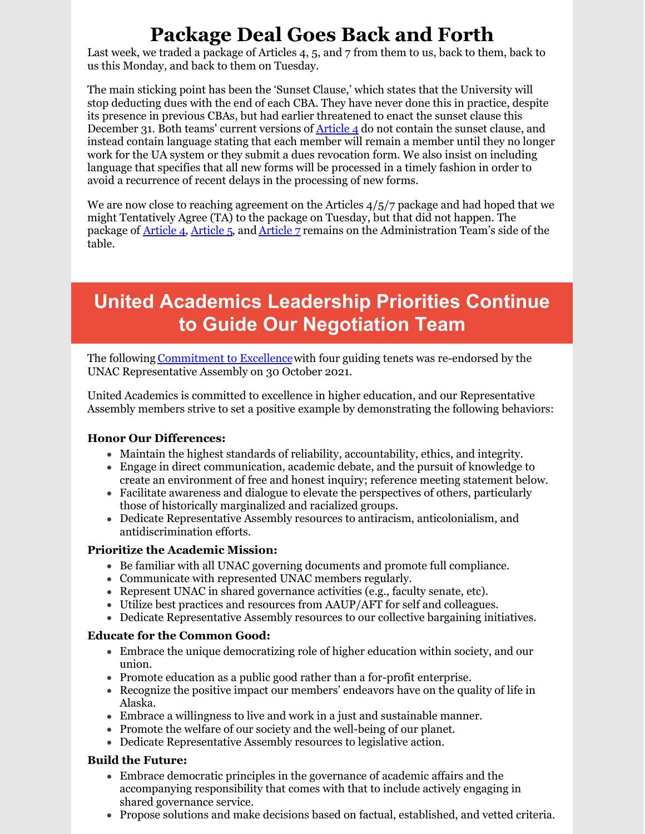# **Package Deal Goes Back and Forth**

Last week, we traded a package of Articles 4, 5, and 7 from them to us, back to them, back to us this Monday, and back to them on Tuesday.

The main sticking point has been the 'Sunset Clause,' which states that the University will stop deducting dues with the end of each CBA. They have never done this in practice, despite its presence in previous CBAs, but had earlier threatened to enact the sunset clause this December 31. Both teams' current versions of **[Article](http://unitedacademics.net/wp-content/uploads/2021/12/Art-4-UNAC-Counter_Package2-12-7.pdf) 4** do not contain the sunset clause, and instead contain language stating that each member will remain a member until they no longer work for the UA system or they submit a dues revocation form. We also insist on including language that specifies that all new forms will be processed in a timely fashion in order to avoid a recurrence of recent delays in the processing of new forms.

We are now close to reaching agreement on the Articles  $4/5/7$  package and had hoped that we might Tentatively Agree (TA) to the package on Tuesday, but that did not happen. The package of [Article](http://unitedacademics.net/wp-content/uploads/2021/12/Art-4-UNAC-Counter_Package2-12-7.pdf) 4, [Article](http://unitedacademics.net/wp-content/uploads/2021/12/Art-5-UNAC-Counter_Package2-12-7.pdf) 5, an[d](http://unitedacademics.net/wp-content/uploads/2021/12/Art-7-UNAC-Counter_Package2-12-7..pdf) [Article](http://unitedacademics.net/wp-content/uploads/2021/12/Art-7-UNAC-Counter_Package2-12-7..pdf) 7 remains on the Administration Team's side of the table.

# **United Academics Leadership Priorities Continue to Guide Our Negotiation Team**

The following [Commitment](http://unitedacademics.net/ra-commitment-to-excellence/) to Excellence with four guiding tenets was re-endorsed by the UNAC Representative Assembly on 30 October 2021.

United Academics is committed to excellence in higher education, and our Representative Assembly members strive to set a positive example by demonstrating the following behaviors:

#### **Honor Our Differences:**

- Maintain the highest standards of reliability, accountability, ethics, and integrity.
- Engage in direct communication, academic debate, and the pursuit of knowledge to create an environment of free and honest inquiry; reference meeting statement below.
- Facilitate awareness and dialogue to elevate the perspectives of others, particularly those of historically marginalized and racialized groups.
- Dedicate Representative Assembly resources to antiracism, anticolonialism, and antidiscrimination efforts.

#### **Prioritize the Academic Mission:**

- Be familiar with all UNAC governing documents and promote full compliance.
- Communicate with represented UNAC members regularly.
- Represent UNAC in shared governance activities (e.g., faculty senate, etc).
- Utilize best practices and resources from AAUP/AFT for self and colleagues.
- Dedicate Representative Assembly resources to our collective bargaining initiatives.

#### **Educate for the Common Good:**

- Embrace the unique democratizing role of higher education within society, and our union.
- Promote education as a public good rather than a for-profit enterprise.
- Recognize the positive impact our members' endeavors have on the quality of life in Alaska.
- Embrace a willingness to live and work in a just and sustainable manner.
- Promote the welfare of our society and the well-being of our planet.
- Dedicate Representative Assembly resources to legislative action.

#### **Build the Future:**

- Embrace democratic principles in the governance of academic affairs and the accompanying responsibility that comes with that to include actively engaging in shared governance service.
- Propose solutions and make decisions based on factual, established, and vetted criteria.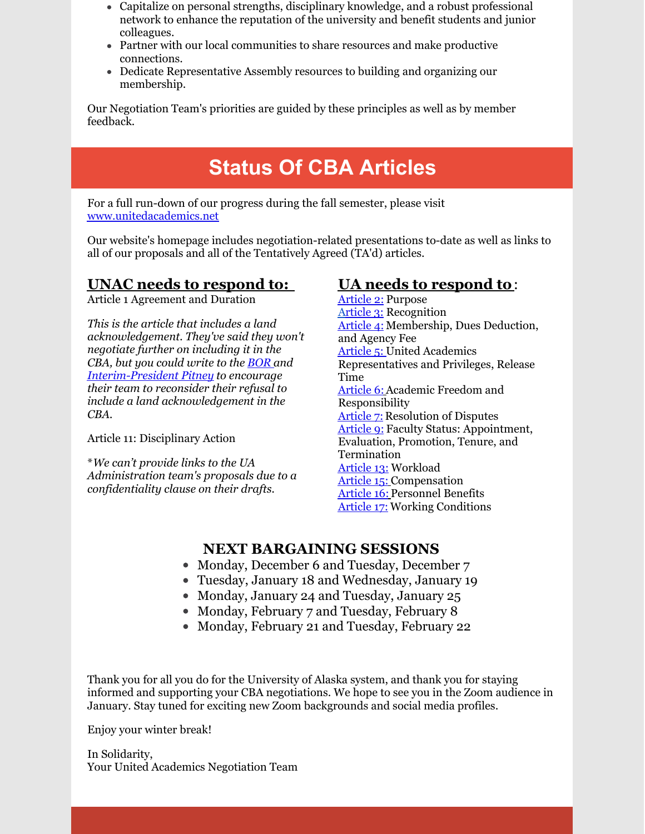- Capitalize on personal strengths, disciplinary knowledge, and a robust professional network to enhance the reputation of the university and benefit students and junior colleagues.
- Partner with our local communities to share resources and make productive connections.
- Dedicate Representative Assembly resources to building and organizing our membership.

Our Negotiation Team's priorities are guided by these principles as well as by member feedback.

# **Status Of CBA Articles**

For a full run-down of our progress during the fall semester, please visit [www.unitedacademics.net](http://unitedacademics.net/)

Our website's homepage includes negotiation-related presentations to-date as well as links to all of our proposals and all of the Tentatively Agreed (TA'd) articles.

### **UNAC needs to respond to:**

Article 1 Agreement and Duration

*This is the article that includes a land acknowledgement. They've said they won't negotiate further on including it in the CBA, but you could write to the [BOR](http://ua-bor@alaska.edu) and [Interim-President](mailto:ua.president@alaska.edu) Pitney to encourage their team to reconsider their refusal to include a land acknowledgement in the CBA.*

Article 11: Disciplinary Action

\**We can't provide links to the UA Administration team's proposals due to a confidentiality clause on their drafts.*

### **UA needs to respond to**:

[Article](http://unitedacademics.net/wp-content/uploads/2021/11/Art-2-UNAC-Counter-10-25-1.pdf) 2: Purpose [Article](http://unitedacademics.net/wp-content/uploads/2021/11/Art-3-UNAC-Counter-11_16.pdf) 3: Recognition [Article](http://unitedacademics.net/wp-content/uploads/2021/12/Art-4-UNAC-Counter_Package2-12-7.pdf) 4: Membership, Dues Deduction, and Agency Fee [Article](http://unitedacademics.net/wp-content/uploads/2021/12/Art-5-UNAC-Counter_Package2-12-7.pdf) 5[:](http://unitedacademics.net/wp-content/uploads/2021/12/Art-5-UNAC-Counter_Package2-12-7.pdf) United Academics Representatives and Privileges, Release Time [Article](http://unitedacademics.net/wp-content/uploads/2021/12/Art-6-UNAC-Counter-11-29.pdf) 6:Academic Freedom and Responsibility [Article](http://unitedacademics.net/wp-content/uploads/2021/12/Art-7-UNAC-Counter_Package2-12-7..pdf) 7: Resolution of Disputes [Article](http://unitedacademics.net/wp-content/uploads/2021/11/Article-9-UNAC-Counter-11-16.pdf) 9: Faculty Status: Appointment, Evaluation, Promotion, Tenure, and Termination [Article](http://unitedacademics.net/wp-content/uploads/2021/11/Article-13-UNAC-Counter-11-1-21.pdf) 13: Workload [Article](http://unitedacademics.net/wp-content/uploads/2021/10/Article-15-UNAC-proposal-10-18.pdf) 15: Compensation [Article](http://unitedacademics.net/wp-content/uploads/2021/10/Article-16-UNAC-10-19.pdf) 16: Personnel Benefits [Article](http://unitedacademics.net/wp-content/uploads/2021/11/Article-17-UNAC-counterproposal-10-26.pdf) 17: Working Conditions

### **NEXT BARGAINING SESSIONS**

- Monday, December 6 and Tuesday, December 7
- Tuesday, January 18 and Wednesday, January 19
- Monday, January 24 and Tuesday, January 25
- Monday, February 7 and Tuesday, February 8
- Monday, February 21 and Tuesday, February 22

Thank you for all you do for the University of Alaska system, and thank you for staying informed and supporting your CBA negotiations. We hope to see you in the Zoom audience in January. Stay tuned for exciting new Zoom backgrounds and social media profiles.

Enjoy your winter break!

In Solidarity, Your United Academics Negotiation Team